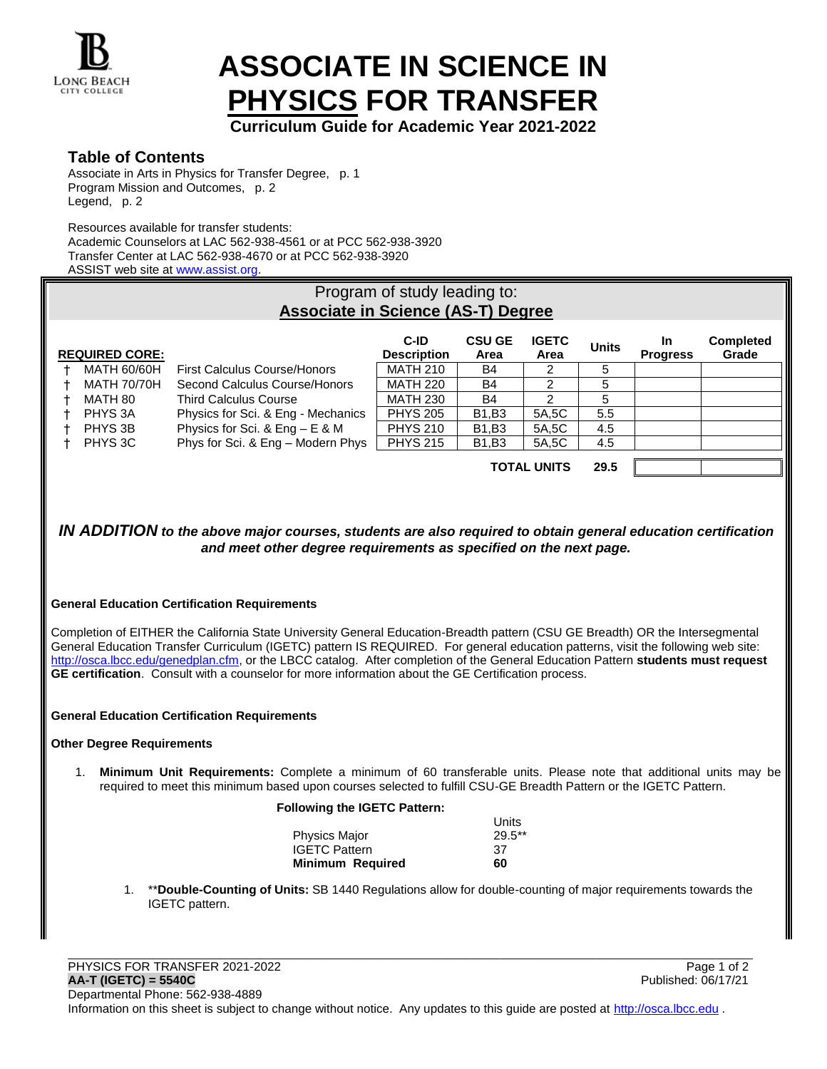

# **ASSOCIATE IN SCIENCE IN PHYSICS FOR TRANSFER**

**Curriculum Guide for Academic Year 2021-2022**

# **Table of Contents**

Associate in Arts in Physics for Transfer Degree, p. 1 Program Mission and Outcomes, p. 2 Legend, p. 2

Resources available for transfer students:

Academic Counselors at LAC 562-938-4561 or at PCC 562-938-3920 Transfer Center at LAC 562-938-4670 or at PCC 562-938-3920 ASSIST web site at www.assist.org.

| Program of study leading to:<br><b>Associate in Science (AS-T) Degree</b> |                       |                                    |                            |                       |                      |              |                              |                           |  |
|---------------------------------------------------------------------------|-----------------------|------------------------------------|----------------------------|-----------------------|----------------------|--------------|------------------------------|---------------------------|--|
|                                                                           | <b>REQUIRED CORE:</b> |                                    | C-ID<br><b>Description</b> | <b>CSU GE</b><br>Area | <b>IGETC</b><br>Area | <b>Units</b> | <b>In</b><br><b>Progress</b> | <b>Completed</b><br>Grade |  |
|                                                                           | MATH 60/60H           | First Calculus Course/Honors       | <b>MATH 210</b>            | B4                    | 2                    | 5            |                              |                           |  |
|                                                                           | <b>MATH 70/70H</b>    | Second Calculus Course/Honors      | <b>MATH 220</b>            | <b>B4</b>             | $\mathcal{P}$        | 5            |                              |                           |  |
|                                                                           | MATH 80               | <b>Third Calculus Course</b>       | <b>MATH 230</b>            | <b>B4</b>             | $\mathfrak{p}$       | 5            |                              |                           |  |
|                                                                           | PHYS 3A               | Physics for Sci. & Eng - Mechanics | <b>PHYS 205</b>            | <b>B1.B3</b>          | 5A.5C                | 5.5          |                              |                           |  |
|                                                                           | PHYS 3B               | Physics for Sci. & Eng $- E 8 M$   | <b>PHYS 210</b>            | <b>B1.B3</b>          | 5A, 5C               | 4.5          |                              |                           |  |
|                                                                           | PHYS 3C               | Phys for Sci. & Eng - Modern Phys  | <b>PHYS 215</b>            | <b>B1.B3</b>          | 5A.5C                | 4.5          |                              |                           |  |
|                                                                           |                       | <b>TOTAL UNITS</b>                 |                            |                       | 29.5                 |              |                              |                           |  |

## *IN ADDITION to the above major courses, students are also required to obtain general education certification and meet other degree requirements as specified on the next page.*

## **General Education Certification Requirements**

Completion of EITHER the California State University General Education-Breadth pattern (CSU GE Breadth) OR the Intersegmental General Education Transfer Curriculum (IGETC) pattern IS REQUIRED. For general education patterns, visit the following web site: [http://osca.lbcc.edu/genedplan.cfm,](http://osca.lbcc.edu/genedplan.cfm) or the LBCC catalog. After completion of the General Education Pattern **students must request GE certification**. Consult with a counselor for more information about the GE Certification process.

#### **General Education Certification Requirements**

## **Other Degree Requirements**

1. **Minimum Unit Requirements:** Complete a minimum of 60 transferable units. Please note that additional units may be required to meet this minimum based upon courses selected to fulfill CSU-GE Breadth Pattern or the IGETC Pattern.

#### **Following the IGETC Pattern:**

|                         | Units     |  |  |
|-------------------------|-----------|--|--|
| <b>Physics Major</b>    | $29.5***$ |  |  |
| <b>IGETC Pattern</b>    | 37        |  |  |
| <b>Minimum Required</b> | 60        |  |  |

1. \*\***Double-Counting of Units:** SB 1440 Regulations allow for double-counting of major requirements towards the IGETC pattern.

\_\_\_\_\_\_\_\_\_\_\_\_\_\_\_\_\_\_\_\_\_\_\_\_\_\_\_\_\_\_\_\_\_\_\_\_\_\_\_\_\_\_\_\_\_\_\_\_\_\_\_\_\_\_\_\_\_\_\_\_\_\_\_\_\_\_\_\_\_\_\_\_\_\_\_\_\_\_\_\_\_\_\_\_\_\_\_\_\_\_\_\_\_\_\_\_\_\_\_\_\_\_\_\_\_\_\_\_\_\_\_\_\_\_